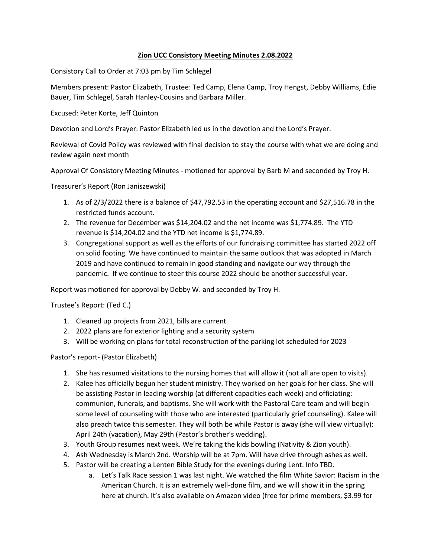## **Zion UCC Consistory Meeting Minutes 2.08.2022**

Consistory Call to Order at 7:03 pm by Tim Schlegel

Members present: Pastor Elizabeth, Trustee: Ted Camp, Elena Camp, Troy Hengst, Debby Williams, Edie Bauer, Tim Schlegel, Sarah Hanley-Cousins and Barbara Miller.

Excused: Peter Korte, Jeff Quinton

Devotion and Lord's Prayer: Pastor Elizabeth led us in the devotion and the Lord's Prayer.

Reviewal of Covid Policy was reviewed with final decision to stay the course with what we are doing and review again next month

Approval Of Consistory Meeting Minutes - motioned for approval by Barb M and seconded by Troy H.

Treasurer's Report (Ron Janiszewski)

- 1. As of 2/3/2022 there is a balance of \$47,792.53 in the operating account and \$27,516.78 in the restricted funds account.
- 2. The revenue for December was \$14,204.02 and the net income was \$1,774.89. The YTD revenue is \$14,204.02 and the YTD net income is \$1,774.89.
- 3. Congregational support as well as the efforts of our fundraising committee has started 2022 off on solid footing. We have continued to maintain the same outlook that was adopted in March 2019 and have continued to remain in good standing and navigate our way through the pandemic. If we continue to steer this course 2022 should be another successful year.

Report was motioned for approval by Debby W. and seconded by Troy H.

Trustee's Report: (Ted C.)

- 1. Cleaned up projects from 2021, bills are current.
- 2. 2022 plans are for exterior lighting and a security system
- 3. Will be working on plans for total reconstruction of the parking lot scheduled for 2023

Pastor's report- (Pastor Elizabeth)

- 1. She has resumed visitations to the nursing homes that will allow it (not all are open to visits).
- 2. Kalee has officially begun her student ministry. They worked on her goals for her class. She will be assisting Pastor in leading worship (at different capacities each week) and officiating: communion, funerals, and baptisms. She will work with the Pastoral Care team and will begin some level of counseling with those who are interested (particularly grief counseling). Kalee will also preach twice this semester. They will both be while Pastor is away (she will view virtually): April 24th (vacation), May 29th (Pastor's brother's wedding).
- 3. Youth Group resumes next week. We're taking the kids bowling (Nativity & Zion youth).
- 4. Ash Wednesday is March 2nd. Worship will be at 7pm. Will have drive through ashes as well.
- 5. Pastor will be creating a Lenten Bible Study for the evenings during Lent. Info TBD.
	- a. Let's Talk Race session 1 was last night. We watched the film White Savior: Racism in the American Church. It is an extremely well-done film, and we will show it in the spring here at church. It's also available on Amazon video (free for prime members, \$3.99 for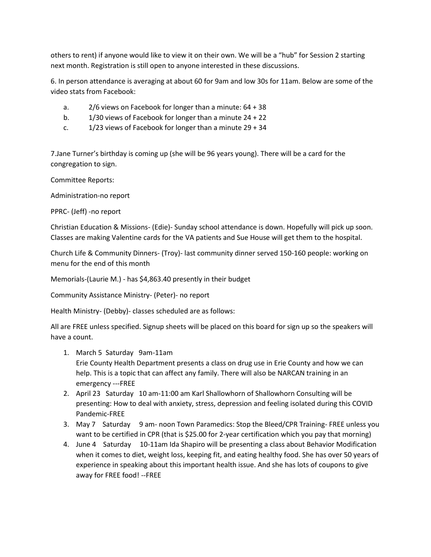others to rent) if anyone would like to view it on their own. We will be a "hub" for Session 2 starting next month. Registration is still open to anyone interested in these discussions.

6. In person attendance is averaging at about 60 for 9am and low 30s for 11am. Below are some of the video stats from Facebook:

- a. 2/6 views on Facebook for longer than a minute: 64 + 38
- b. 1/30 views of Facebook for longer than a minute 24 + 22
- c.  $1/23$  views of Facebook for longer than a minute  $29 + 34$

7.Jane Turner's birthday is coming up (she will be 96 years young). There will be a card for the congregation to sign.

Committee Reports:

Administration-no report

PPRC- (Jeff) -no report

Christian Education & Missions- (Edie)- Sunday school attendance is down. Hopefully will pick up soon. Classes are making Valentine cards for the VA patients and Sue House will get them to the hospital.

Church Life & Community Dinners- (Troy)- last community dinner served 150-160 people: working on menu for the end of this month

Memorials-(Laurie M.) - has \$4,863.40 presently in their budget

Community Assistance Ministry- (Peter)- no report

Health Ministry- (Debby)- classes scheduled are as follows:

All are FREE unless specified. Signup sheets will be placed on this board for sign up so the speakers will have a count.

1. March 5 Saturday 9am-11am

Erie County Health Department presents a class on drug use in Erie County and how we can help. This is a topic that can affect any family. There will also be NARCAN training in an emergency ---FREE

- 2. April 23 Saturday 10 am-11:00 am Karl Shallowhorn of Shallowhorn Consulting will be presenting: How to deal with anxiety, stress, depression and feeling isolated during this COVID Pandemic-FREE
- 3. May 7 Saturday 9 am- noon Town Paramedics: Stop the Bleed/CPR Training- FREE unless you want to be certified in CPR (that is \$25.00 for 2-year certification which you pay that morning)
- 4. June 4 Saturday 10-11am Ida Shapiro will be presenting a class about Behavior Modification when it comes to diet, weight loss, keeping fit, and eating healthy food. She has over 50 years of experience in speaking about this important health issue. And she has lots of coupons to give away for FREE food! --FREE